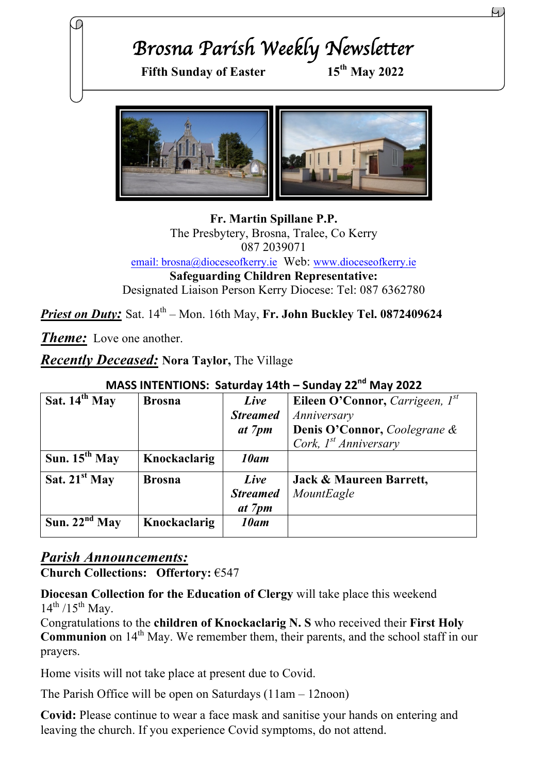# *Brosna Parish Weekly Newsletter*  Fifth Sunday of Easter 15<sup>th</sup> May 2022

**Fr. Martin Spillane P.P.** The Presbytery, Brosna, Tralee, Co Kerry 087 2039071 email: brosna@dioceseofkerry.ie Web: www.dioceseofkerry.ie **Safeguarding Children Representative:** Designated Liaison Person Kerry Diocese: Tel: 087 6362780

*Priest on Duty:* Sat.  $14^{th}$  – Mon. 16th May, Fr. John Buckley Tel. 0872409624

*Theme:* Love one another.

*Recently Deceased:* **Nora Taylor,** The Village

| Sat. $14th$ May    | <b>Brosna</b> | Live            | Eileen O'Connor, Carrigeen, $I^{st}$ |
|--------------------|---------------|-----------------|--------------------------------------|
|                    |               | <b>Streamed</b> | Anniversary                          |
|                    |               | at 7pm          | Denis O'Connor, Coolegrane &         |
|                    |               |                 | Cork, $I^{st}$ Anniversary           |
| Sun. $15^{th}$ May | Knockaclarig  | 10am            |                                      |
| Sat. $21^{st}$ May | <b>Brosna</b> | Live            | Jack & Maureen Barrett,              |
|                    |               | <b>Streamed</b> | MountEagle                           |
|                    |               | at 7pm          |                                      |
| Sun. $22nd$ May    | Knockaclarig  | 10am            |                                      |

### **MASS INTENTIONS: Saturday 14th – Sunday 22<sup>nd</sup> May 2022**

#### *Parish Announcements:*

**Church Collections: Offertory:** €547

**Diocesan Collection for the Education of Clergy** will take place this weekend  $14^{th}$  /15<sup>th</sup> May.

Congratulations to the **children of Knockaclarig N. S** who received their **First Holy Communion** on 14<sup>th</sup> May. We remember them, their parents, and the school staff in our prayers.

Home visits will not take place at present due to Covid.

The Parish Office will be open on Saturdays (11am – 12noon)

**Covid:** Please continue to wear a face mask and sanitise your hands on entering and leaving the church. If you experience Covid symptoms, do not attend.

Η.